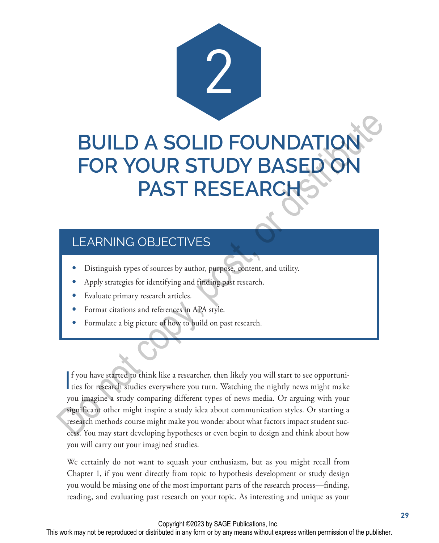

# LEARNING OBJECTIVES

- Distinguish types of sources by author, purpose, content, and utility.
- Apply strategies for identifying and finding past research.
- Evaluate primary research articles.
- Format citations and references in APA style.
- Formulate a big picture of how to build on past research.

If you have started to think like a researcher, then likely you will start to see opportunities for research studies everywhere you turn. Watching the nightly news might make ties for research studies everywhere you turn. Watching the nightly news might make you imagine a study comparing different types of news media. Or arguing with your significant other might inspire a study idea about communication styles. Or starting a research methods course might make you wonder about what factors impact student success. You may start developing hypotheses or even begin to design and think about how you will carry out your imagined studies.

We certainly do not want to squash your enthusiasm, but as you might recall from Chapter 1, if you went directly from topic to hypothesis development or study design you would be missing one of the most important parts of the research process—finding, reading, and evaluating past research on your topic. As interesting and unique as your

Copyright ©2023 by SAGE Publications, Inc.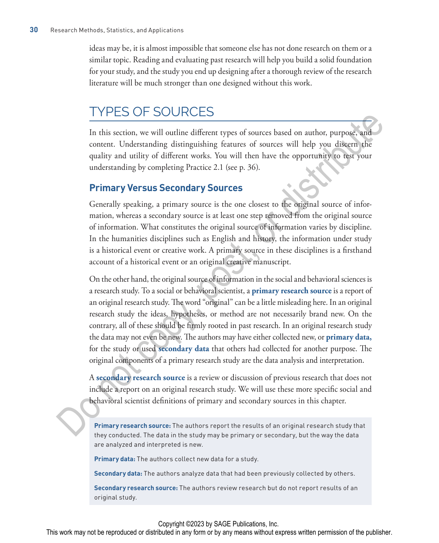ideas may be, it is almost impossible that someone else has not done research on them or a similar topic. Reading and evaluating past research will help you build a solid foundation for your study, and the study you end up designing after a thorough review of the research literature will be much stronger than one designed without this work.

# TYPES OF SOURCES

In this section, we will outline different types of sources based on author, purpose, and content. Understanding distinguishing features of sources will help you discern the quality and utility of different works. You will then have the opportunity to test your understanding by completing Practice 2.1 (see p. 36).

## **Primary Versus Secondary Sources**

Generally speaking, a primary source is the one closest to the original source of information, whereas a secondary source is at least one step removed from the original source of information. What constitutes the original source of information varies by discipline. In the humanities disciplines such as English and history, the information under study is a historical event or creative work. A primary source in these disciplines is a firsthand account of a historical event or an original creative manuscript.

On the other hand, the original source of information in the social and behavioral sciences is a research study. To a social or behavioral scientist, a **primary research source** is a report of an original research study. The word "original" can be a little misleading here. In an original research study the ideas, hypotheses, or method are not necessarily brand new. On the contrary, all of these should be firmly rooted in past research. In an original research study the data may not even be new. The authors may have either collected new, or **primary data,** for the study or used **secondary data** that others had collected for another purpose. The original components of a primary research study are the data analysis and interpretation. THE LOVE JOY CONCLED INTO THE CONTROL INTO THE TRIS CONTROL INTO THE CONTROL INTO THE CONTROL CONTROL CONTROL CONTROL CONTROL CONTROL CONTROL CONTROL CONTROL CONTROL CONTROL CONTROL CONTROL CONTROL CONTROL CONTROL CONTROL

A **secondary research source** is a review or discussion of previous research that does not include a report on an original research study. We will use these more specific social and behavioral scientist definitions of primary and secondary sources in this chapter.

**Primary research source:** The authors report the results of an original research study that they conducted. The data in the study may be primary or secondary, but the way the data are analyzed and interpreted is new.

**Primary data:** The authors collect new data for a study.

**Secondary data:** The authors analyze data that had been previously collected by others.

**Secondary research source:** The authors review research but do not report results of an original study.

#### Copyright ©2023 by SAGE Publications, Inc.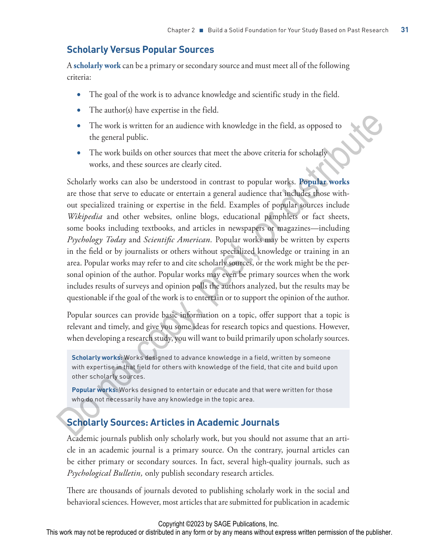## **Scholarly Versus Popular Sources**

A **scholarly work** can be a primary or secondary source and must meet all of the following criteria:

- The goal of the work is to advance knowledge and scientific study in the field.
- The author(s) have expertise in the field.
- The work is written for an audience with knowledge in the field, as opposed to the general public.
- The work builds on other sources that meet the above criteria for scholarly works, and these sources are clearly cited.

Scholarly works can also be understood in contrast to popular works. **Popular works**  are those that serve to educate or entertain a general audience that includes those without specialized training or expertise in the field. Examples of popular sources include *Wikipedia* and other websites, online blogs, educational pamphlets or fact sheets, some books including textbooks, and articles in newspapers or magazines—including *Psychology Today* and *Scientific American.* Popular works may be written by experts in the field or by journalists or others without specialized knowledge or training in an area. Popular works may refer to and cite scholarly sources, or the work might be the personal opinion of the author. Popular works may even be primary sources when the work includes results of surveys and opinion polls the authors analyzed, but the results may be questionable if the goal of the work is to entertain or to support the opinion of the author. The work is written for an audience with knowledge in the field, as opposed to<br>the general public.<br>The work builds on other sources that meet the above criteria for scholary<br>works, and these sources are clearly cited.<br>Scho

Popular sources can provide basic information on a topic, offer support that a topic is relevant and timely, and give you some ideas for research topics and questions. However, when developing a research study, you will want to build primarily upon scholarly sources.

**Scholarly works:** Works designed to advance knowledge in a field, written by someone with expertise in that field for others with knowledge of the field, that cite and build upon other scholarly sources.

**Popular works:** Works designed to entertain or educate and that were written for those who do not necessarily have any knowledge in the topic area.

## **Scholarly Sources: Articles in Academic Journals**

Academic journals publish only scholarly work, but you should not assume that an article in an academic journal is a primary source. On the contrary, journal articles can be either primary or secondary sources. In fact, several high-quality journals, such as *Psychological Bulletin,* only publish secondary research articles.

There are thousands of journals devoted to publishing scholarly work in the social and behavioral sciences. However, most articles that are submitted for publication in academic

Copyright ©2023 by SAGE Publications, Inc.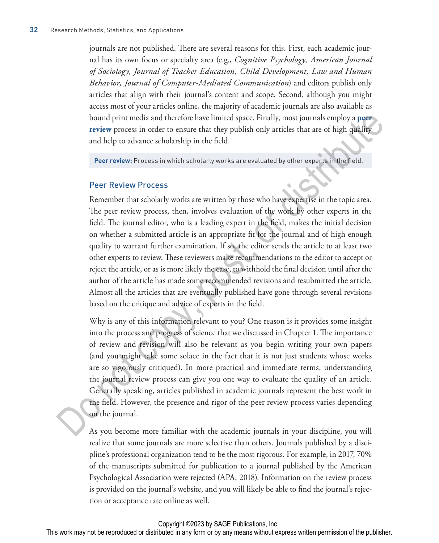journals are not published. There are several reasons for this. First, each academic journal has its own focus or specialty area (e.g., *Cognitive Psychology, American Journal of Sociology, Journal of Teacher Education, Child Development, Law and Human Behavior, Journal of Computer-Mediated Communication*) and editors publish only articles that align with their journal's content and scope. Second, although you might access most of your articles online, the majority of academic journals are also available as bound print media and therefore have limited space. Finally, most journals employ a **peer review** process in order to ensure that they publish only articles that are of high quality and help to advance scholarship in the field.

**Peer review:** Process in which scholarly works are evaluated by other experts in the field.

#### Peer Review Process

Remember that scholarly works are written by those who have expertise in the topic area. The peer review process, then, involves evaluation of the work by other experts in the field. The journal editor, who is a leading expert in the field, makes the initial decision on whether a submitted article is an appropriate fit for the journal and of high enough quality to warrant further examination. If so, the editor sends the article to at least two other experts to review. These reviewers make recommendations to the editor to accept or reject the article, or as is more likely the case, to withhold the final decision until after the author of the article has made some recommended revisions and resubmitted the article. Almost all the articles that are eventually published have gone through several revisions based on the critique and advice of experts in the field. bound print media and therefore have limited space. Finally, most journals employ a peer review process in order to consuct that they publish only articles that are of high quality<br>and help to advance scholarship in the fi

Why is any of this information relevant to you? One reason is it provides some insight into the process and progress of science that we discussed in Chapter 1. The importance of review and revision will also be relevant as you begin writing your own papers (and you might take some solace in the fact that it is not just students whose works are so vigorously critiqued). In more practical and immediate terms, understanding the journal review process can give you one way to evaluate the quality of an article. Generally speaking, articles published in academic journals represent the best work in the field. However, the presence and rigor of the peer review process varies depending on the journal.

As you become more familiar with the academic journals in your discipline, you will realize that some journals are more selective than others. Journals published by a discipline's professional organization tend to be the most rigorous. For example, in 2017, 70% of the manuscripts submitted for publication to a journal published by the American Psychological Association were rejected (APA, 2018). Information on the review process is provided on the journal's website, and you will likely be able to find the journal's rejection or acceptance rate online as well.

#### Copyright ©2023 by SAGE Publications, Inc.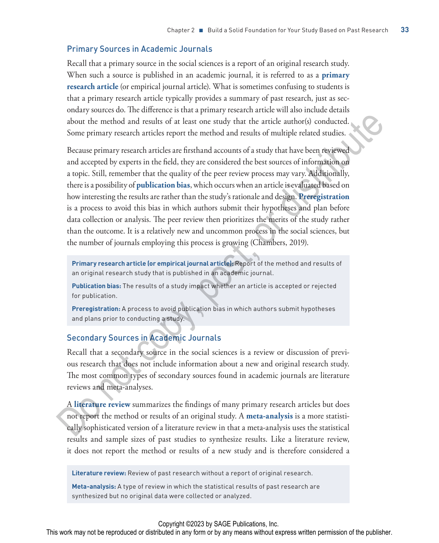### Primary Sources in Academic Journals

Recall that a primary source in the social sciences is a report of an original research study. When such a source is published in an academic journal, it is referred to as a **primary research article** (or empirical journal article). What is sometimes confusing to students is that a primary research article typically provides a summary of past research, just as secondary sources do. The difference is that a primary research article will also include details about the method and results of at least one study that the article author(s) conducted. Some primary research articles report the method and results of multiple related studies.

Because primary research articles are firsthand accounts of a study that have been reviewed and accepted by experts in the field, they are considered the best sources of information on a topic. Still, remember that the quality of the peer review process may vary. Additionally, there is a possibility of **publication bias**, which occurs when an article is evaluated based on how interesting the results are rather than the study's rationale and design. **Preregistration**  is a process to avoid this bias in which authors submit their hypotheses and plan before data collection or analysis. The peer review then prioritizes the merits of the study rather than the outcome. It is a relatively new and uncommon process in the social sciences, but the number of journals employing this process is growing (Chambers, 2019). about the method and results of at least one study that the article author(s) conducted.<br>
Some primary research articles report the method and results of multiple related studies.<br>
Because primary research articles are fi

**Primary research article (or empirical journal article):** Report of the method and results of an original research study that is published in an academic journal.

**Publication bias:** The results of a study impact whether an article is accepted or rejected for publication.

**Preregistration:** A process to avoid publication bias in which authors submit hypotheses and plans prior to conducting a study.

### Secondary Sources in Academic Journals

Recall that a secondary source in the social sciences is a review or discussion of previous research that does not include information about a new and original research study. The most common types of secondary sources found in academic journals are literature reviews and meta-analyses.

A **literature review** summarizes the findings of many primary research articles but does not report the method or results of an original study. A **meta-analysis** is a more statistically sophisticated version of a literature review in that a meta-analysis uses the statistical results and sample sizes of past studies to synthesize results. Like a literature review, it does not report the method or results of a new study and is therefore considered a

**Literature review:** Review of past research without a report of original research.

**Meta-analysis:** A type of review in which the statistical results of past research are synthesized but no original data were collected or analyzed.

#### Copyright ©2023 by SAGE Publications, Inc.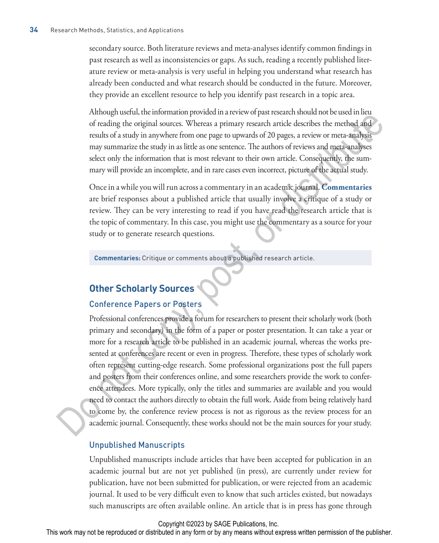secondary source. Both literature reviews and meta-analyses identify common findings in past research as well as inconsistencies or gaps. As such, reading a recently published literature review or meta-analysis is very useful in helping you understand what research has already been conducted and what research should be conducted in the future. Moreover, they provide an excellent resource to help you identify past research in a topic area.

Although useful, the information provided in a review of past research should not be used in lieu of reading the original sources. Whereas a primary research article describes the method and results of a study in anywhere from one page to upwards of 20 pages, a review or meta-analysis may summarize the study in as little as one sentence. The authors of reviews and meta-analyses select only the information that is most relevant to their own article. Consequently, the summary will provide an incomplete, and in rare cases even incorrect, picture of the actual study.

Once in a while you will run across a commentary in an academic journal. **Commentaries**  are brief responses about a published article that usually involve a critique of a study or review. They can be very interesting to read if you have read the research article that is the topic of commentary. In this case, you might use the commentary as a source for your study or to generate research questions.

**Commentaries:** Critique or comments about a published research article.

# **Other Scholarly Sources**

## Conference Papers or Posters

Professional conferences provide a forum for researchers to present their scholarly work (both primary and secondary) in the form of a paper or poster presentation. It can take a year or more for a research article to be published in an academic journal, whereas the works presented at conferences are recent or even in progress. Therefore, these types of scholarly work often represent cutting-edge research. Some professional organizations post the full papers and posters from their conferences online, and some researchers provide the work to conference attendees. More typically, only the titles and summaries are available and you would need to contact the authors directly to obtain the full work. Aside from being relatively hard to come by, the conference review process is not as rigorous as the review process for an academic journal. Consequently, these works should not be the main sources for your study. Altionary and secondary on the form of research solutions of the melhanon and the melhanon of the melhanon and the melhanon of the melhanon and the melhanon of the melhanon and the melhanon of the melhanon of the melhanon

### Unpublished Manuscripts

Unpublished manuscripts include articles that have been accepted for publication in an academic journal but are not yet published (in press), are currently under review for publication, have not been submitted for publication, or were rejected from an academic journal. It used to be very difficult even to know that such articles existed, but nowadays such manuscripts are often available online. An article that is in press has gone through

Copyright ©2023 by SAGE Publications, Inc.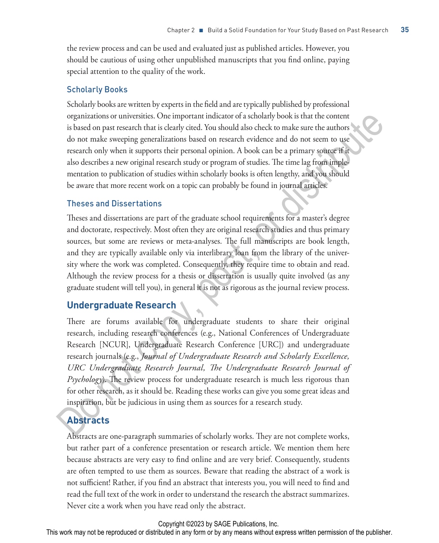the review process and can be used and evaluated just as published articles. However, you should be cautious of using other unpublished manuscripts that you find online, paying special attention to the quality of the work.

### Scholarly Books

Scholarly books are written by experts in the field and are typically published by professional organizations or universities. One important indicator of a scholarly book is that the content is based on past research that is clearly cited. You should also check to make sure the authors do not make sweeping generalizations based on research evidence and do not seem to use research only when it supports their personal opinion. A book can be a primary source if it also describes a new original research study or program of studies. The time lag from implementation to publication of studies within scholarly books is often lengthy, and you should be aware that more recent work on a topic can probably be found in journal articles.

### Theses and Dissertations

Theses and dissertations are part of the graduate school requirements for a master's degree and doctorate, respectively. Most often they are original research studies and thus primary sources, but some are reviews or meta-analyses. The full manuscripts are book length, and they are typically available only via interlibrary loan from the library of the university where the work was completed. Consequently, they require time to obtain and read. Although the review process for a thesis or dissertation is usually quite involved (as any graduate student will tell you), in general it is not as rigorous as the journal review process.

## **Undergraduate Research**

There are forums available for undergraduate students to share their original research, including research conferences (e.g., National Conferences of Undergraduate Research [NCUR], Undergraduate Research Conference [URC]) and undergraduate research journals (e.g., *Journal of Undergraduate Research and Scholarly Excellence, URC Undergraduate Research Journal, The Undergraduate Research Journal of Psychology*). The review process for undergraduate research is much less rigorous than for other research, as it should be. Reading these works can give you some great ideas and inspiration, but be judicious in using them as sources for a research study. organizations or universities. One imporant indicator of a scholarly book is that the content<br>is based on part research that is deathy circle. You should also check to makes unce a means<br>do not make sweeping generalizatio

## **Abstracts**

Abstracts are one-paragraph summaries of scholarly works. They are not complete works, but rather part of a conference presentation or research article. We mention them here because abstracts are very easy to find online and are very brief. Consequently, students are often tempted to use them as sources. Beware that reading the abstract of a work is not sufficient! Rather, if you find an abstract that interests you, you will need to find and read the full text of the work in order to understand the research the abstract summarizes. Never cite a work when you have read only the abstract.

#### Copyright ©2023 by SAGE Publications, Inc.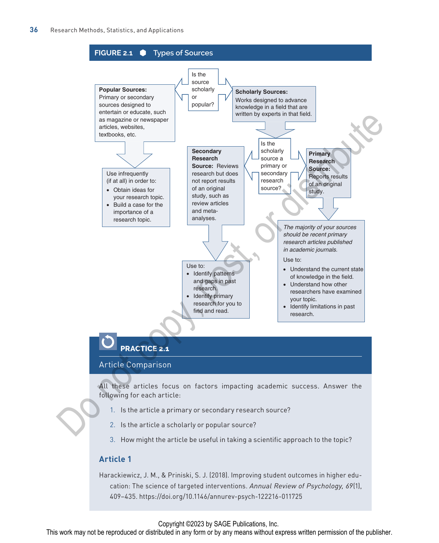

# **PRACTICE 2.1**

#### Article Comparison

All these articles focus on factors impacting academic success. Answer the following for each article:

- 1. Is the article a primary or secondary research source?
- 2. Is the article a scholarly or popular source?
- 3. How might the article be useful in taking a scientific approach to the topic?

#### **Article 1**

Harackiewicz, J. M., & Priniski, S. J. (2018). Improving student outcomes in higher education: The science of targeted interventions. *Annual Review of Psychology, 69*(1), 409–435. https://doi.org/10.1146/annurev-psych-122216-011725

Copyright ©2023 by SAGE Publications, Inc.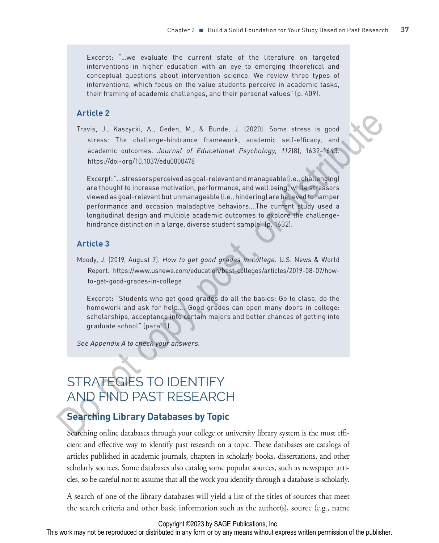Excerpt: "…we evaluate the current state of the literature on targeted interventions in higher education with an eye to emerging theoretical and conceptual questions about intervention science. We review three types of interventions, which focus on the value students perceive in academic tasks, their framing of academic challenges, and their personal values" (p. 409).

#### **Article 2**

Travis, J., Kaszycki, A., Geden, M., & Bunde, J. (2020). Some stress is good stress: The challenge-hindrance framework, academic self-efficacy, and academic outcomes. *Journal of Educational Psychology, 112*(8), 1632–1643. https://doi-org/10.1037/edu0000478

Excerpt: "…stressors perceived as goal-relevant and manageable (i.e., challenging) are thought to increase motivation, performance, and well being, while stressors viewed as goal-relevant but unmanageable (i.e., hindering) are believed to hamper performance and occasion maladaptive behaviors….The current study used a longitudinal design and multiple academic outcomes to explore the challengehindrance distinction in a large, diverse student sample" (p. 1632). Article 3<br>
Travis, J., Kaszycki, A., Geden, M., & Bunde, J. (2020). Some stress is good<br>
sitess. The challenge-hindrance framework, academic sell-efficery, and<br>
academic outcomes. Journal of Educational Psychology, 172(8),

#### **Article 3**

Moody, J. (2019, August 7). *How to get good grades in college.* U.S. News & World Report. https://www.usnews.com/education/best-colleges/articles/2019-08-07/howto-get-good-grades-in-college

Excerpt: "Students who get good grades do all the basics: Go to class, do the homework and ask for help…. Good grades can open many doors in college: scholarships, acceptance into certain majors and better chances of getting into graduate school" (para. 1).

*See Appendix A to check your answers.*

# STRATEGIES TO IDENTIFY AND FIND PAST RESEARCH

## **Searching Library Databases by Topic**

Searching online databases through your college or university library system is the most efficient and effective way to identify past research on a topic. These databases are catalogs of articles published in academic journals, chapters in scholarly books, dissertations, and other scholarly sources. Some databases also catalog some popular sources, such as newspaper articles, so be careful not to assume that all the work you identify through a database is scholarly.

A search of one of the library databases will yield a list of the titles of sources that meet the search criteria and other basic information such as the author(s), source (e.g., name

Copyright ©2023 by SAGE Publications, Inc.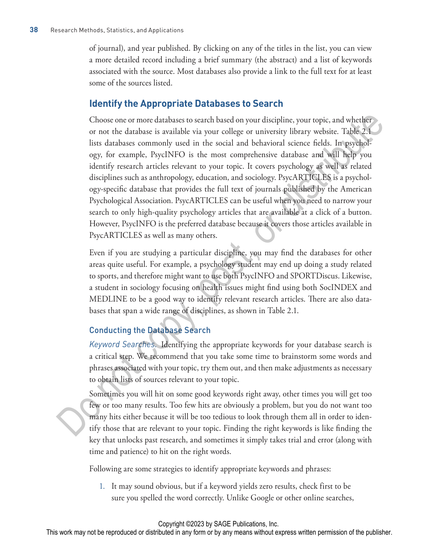of journal), and year published. By clicking on any of the titles in the list, you can view a more detailed record including a brief summary (the abstract) and a list of keywords associated with the source. Most databases also provide a link to the full text for at least some of the sources listed.

## **Identify the Appropriate Databases to Search**

Choose one or more databases to search based on your discipline, your topic, and whether or not the database is available via your college or university library website. Table 2.1 lists databases commonly used in the social and behavioral science fields. In psychology, for example, PsycINFO is the most comprehensive database and will help you identify research articles relevant to your topic. It covers psychology as well as related disciplines such as anthropology, education, and sociology. PsycARTICLES is a psychology-specific database that provides the full text of journals published by the American Psychological Association. PsycARTICLES can be useful when you need to narrow your search to only high-quality psychology articles that are available at a click of a button. However, PsycINFO is the preferred database because it covers those articles available in PsycARTICLES as well as many others. Choose one or more databases to search based on your discipline, your topic, and whether<br>or not the database is available via your college or university library website. Table 2.1<br>its databases commonly used in the social

Even if you are studying a particular discipline, you may find the databases for other areas quite useful. For example, a psychology student may end up doing a study related to sports, and therefore might want to use both PsycINFO and SPORTDiscus. Likewise, a student in sociology focusing on health issues might find using both SocINDEX and MEDLINE to be a good way to identify relevant research articles. There are also databases that span a wide range of disciplines, as shown in Table 2.1.

## Conducting the Database Search

*Keyword Searches.* Identifying the appropriate keywords for your database search is a critical step. We recommend that you take some time to brainstorm some words and phrases associated with your topic, try them out, and then make adjustments as necessary to obtain lists of sources relevant to your topic.

Sometimes you will hit on some good keywords right away, other times you will get too few or too many results. Too few hits are obviously a problem, but you do not want too many hits either because it will be too tedious to look through them all in order to identify those that are relevant to your topic. Finding the right keywords is like finding the key that unlocks past research, and sometimes it simply takes trial and error (along with time and patience) to hit on the right words.

Following are some strategies to identify appropriate keywords and phrases:

1. It may sound obvious, but if a keyword yields zero results, check first to be sure you spelled the word correctly. Unlike Google or other online searches,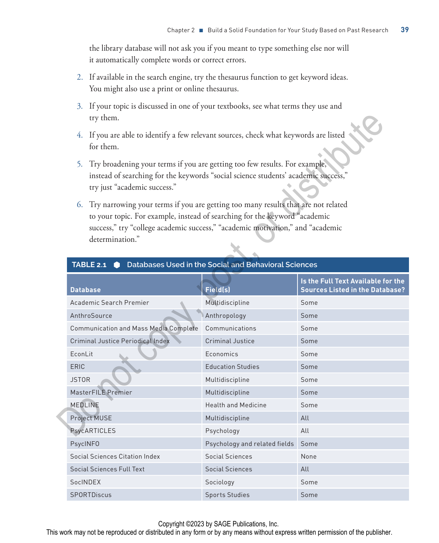the library database will not ask you if you meant to type something else nor will it automatically complete words or correct errors.

- 2. If available in the search engine, try the thesaurus function to get keyword ideas. You might also use a print or online thesaurus.
- 3. If your topic is discussed in one of your textbooks, see what terms they use and try them.
- 4. If you are able to identify a few relevant sources, check what keywords are listed for them.
- 5. Try broadening your terms if you are getting too few results. For example, instead of searching for the keywords "social science students' academic success," try just "academic success."
- 6. Try narrowing your terms if you are getting too many results that are not related to your topic. For example, instead of searching for the keyword "academic success," try "college academic success," "academic motivation," and "academic determination."

| try them.                                                                                                                                                                                                                                                                  |                               |                                                                              |  |  |  |
|----------------------------------------------------------------------------------------------------------------------------------------------------------------------------------------------------------------------------------------------------------------------------|-------------------------------|------------------------------------------------------------------------------|--|--|--|
| 4. If you are able to identify a few relevant sources, check what keywords are listed<br>for them.                                                                                                                                                                         |                               |                                                                              |  |  |  |
| 5. Try broadening your terms if you are getting too few results. For example,<br>instead of searching for the keywords "social science students' academic success,"<br>try just "academic success."                                                                        |                               |                                                                              |  |  |  |
| Try narrowing your terms if you are getting too many results that are not related<br>6.<br>to your topic. For example, instead of searching for the keyword "academic<br>success," try "college academic success," "academic motivation," and "academic<br>determination." |                               |                                                                              |  |  |  |
| Databases Used in the Social and Behavioral Sciences<br><b>TABLE 2.1</b><br>$\bullet$                                                                                                                                                                                      |                               |                                                                              |  |  |  |
| <b>Database</b>                                                                                                                                                                                                                                                            | Field(s)                      | Is the Full Text Available for the<br><b>Sources Listed in the Database?</b> |  |  |  |
| Academic Search Premier                                                                                                                                                                                                                                                    | Multidiscipline               | Some                                                                         |  |  |  |
| AnthroSource                                                                                                                                                                                                                                                               | Anthropology                  | Some                                                                         |  |  |  |
| Communication and Mass Media Complete                                                                                                                                                                                                                                      | Communications                | Some                                                                         |  |  |  |
| Criminal Justice Periodical Index                                                                                                                                                                                                                                          | Criminal Justice              | Some                                                                         |  |  |  |
| EconLit                                                                                                                                                                                                                                                                    | Economics                     | Some                                                                         |  |  |  |
| ERIC                                                                                                                                                                                                                                                                       | <b>Education Studies</b>      | Some                                                                         |  |  |  |
| <b>JSTOR</b>                                                                                                                                                                                                                                                               | Multidiscipline               | Some                                                                         |  |  |  |
| MasterFILE Premier                                                                                                                                                                                                                                                         | Multidiscipline               | Some                                                                         |  |  |  |
| <b>MEDLINE</b>                                                                                                                                                                                                                                                             | <b>Health and Medicine</b>    | Some                                                                         |  |  |  |
| Project MUSE                                                                                                                                                                                                                                                               | Multidiscipline               | All                                                                          |  |  |  |
| PsycARTICLES                                                                                                                                                                                                                                                               | Psychology                    | All                                                                          |  |  |  |
| <b>PsycINFO</b>                                                                                                                                                                                                                                                            | Psychology and related fields | Some                                                                         |  |  |  |
| Social Sciences Citation Index                                                                                                                                                                                                                                             | <b>Social Sciences</b>        | None                                                                         |  |  |  |
| Social Sciences Full Text                                                                                                                                                                                                                                                  | <b>Social Sciences</b>        | All                                                                          |  |  |  |
| SocINDEX                                                                                                                                                                                                                                                                   | Sociology                     | Some                                                                         |  |  |  |
| <b>SPORTDiscus</b>                                                                                                                                                                                                                                                         | <b>Sports Studies</b>         | Some                                                                         |  |  |  |

#### **TABLE 2.1 Databases Used in the Social and Behavioral Sciences**

#### Copyright ©2023 by SAGE Publications, Inc.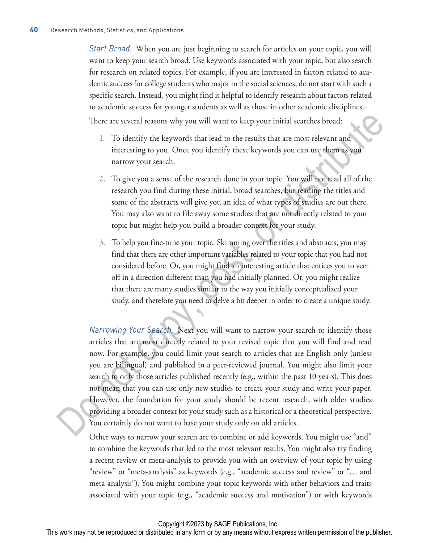*Start Broad.* When you are just beginning to search for articles on your topic, you will want to keep your search broad. Use keywords associated with your topic, but also search for research on related topics. For example, if you are interested in factors related to academic success for college students who major in the social sciences, do not start with such a specific search. Instead, you might find it helpful to identify research about factors related to academic success for younger students as well as those in other academic disciplines.

There are several reasons why you will want to keep your initial searches broad:

- 1. To identify the keywords that lead to the results that are most relevant and interesting to you. Once you identify these keywords you can use them as you narrow your search.
- 2. To give you a sense of the research done in your topic. You will not read all of the research you find during these initial, broad searches, but reading the titles and some of the abstracts will give you an idea of what types of studies are out there. You may also want to file away some studies that are not directly related to your topic but might help you build a broader context for your study.
- 3. To help you fine-tune your topic. Skimming over the titles and abstracts, you may find that there are other important variables related to your topic that you had not considered before. Or, you might find an interesting article that entices you to veer off in a direction different than you had initially planned. Or, you might realize that there are many studies similar to the way you initially conceptualized your study, and therefore you need to delve a bit deeper in order to create a unique study.

*Narrowing Your Search.* Next you will want to narrow your search to identify those articles that are most directly related to your revised topic that you will find and read now. For example, you could limit your search to articles that are English only (unless you are bilingual) and published in a peer-reviewed journal. You might also limit your search to only those articles published recently (e.g., within the past 10 years). This does not mean that you can use only new studies to create your study and write your paper. However, the foundation for your study should be recent research, with older studies providing a broader context for your study such as a historical or a theoretical perspective. You certainly do not want to base your study only on old articles. There are several reasons why you will want to keep your initial searches broad:<br>
1. To identify the keywords that lead to the results that are most relevant and<br>
interesting to you. Once you identify these keywords you ca

Other ways to narrow your search are to combine or add keywords. You might use "and" to combine the keywords that led to the most relevant results. You might also try finding a recent review or meta-analysis to provide you with an overview of your topic by using "review" or "meta-analysis" as keywords (e.g., "academic success and review" or "… and meta-analysis"). You might combine your topic keywords with other behaviors and traits associated with your topic (e.g., "academic success and motivation") or with keywords

This work may not be reproduced or distributed in any form or by any means without express written permission of the publisher.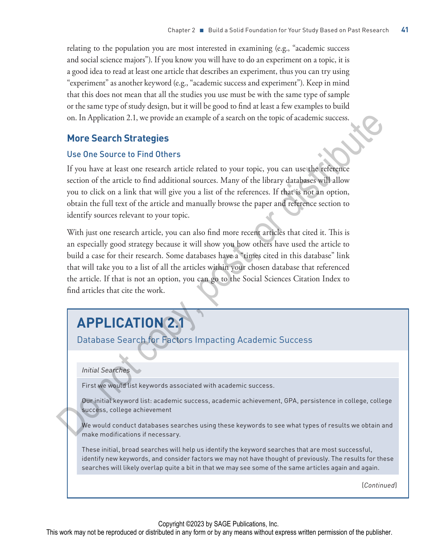relating to the population you are most interested in examining (e.g., "academic success and social science majors"). If you know you will have to do an experiment on a topic, it is a good idea to read at least one article that describes an experiment, thus you can try using "experiment" as another keyword (e.g., "academic success and experiment"). Keep in mind that this does not mean that all the studies you use must be with the same type of sample or the same type of study design, but it will be good to find at least a few examples to build on. In Application 2.1, we provide an example of a search on the topic of academic success.

## **More Search Strategies**

## Use One Source to Find Others

If you have at least one research article related to your topic, you can use the reference section of the article to find additional sources. Many of the library databases will allow you to click on a link that will give you a list of the references. If that is not an option, obtain the full text of the article and manually browse the paper and reference section to identify sources relevant to your topic.

With just one research article, you can also find more recent articles that cited it. This is an especially good strategy because it will show you how others have used the article to build a case for their research. Some databases have a "times cited in this database" link that will take you to a list of all the articles within your chosen database that referenced the article. If that is not an option, you can go to the Social Sciences Citation Index to find articles that cite the work. on. In Application 2.1, we provide an example of a search on the topic of academic success.<br>
More Search Strategies<br>
Use One Source to Find Others<br>
If you have at lesst one research article related to your topic, you can u

# **APPLICATION 2.1**

Database Search for Factors Impacting Academic Success

#### *Initial Searches*

First we would list keywords associated with academic success.

Our initial keyword list: academic success, academic achievement, GPA, persistence in college, college success, college achievement

We would conduct databases searches using these keywords to see what types of results we obtain and make modifications if necessary.

These initial, broad searches will help us identify the keyword searches that are most successful, identify new keywords, and consider factors we may not have thought of previously. The results for these searches will likely overlap quite a bit in that we may see some of the same articles again and again.

(*Continued*)

Copyright ©2023 by SAGE Publications, Inc.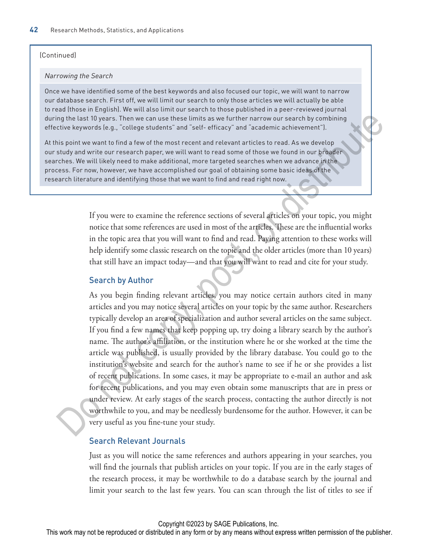#### (Continued)

#### *Narrowing the Search*

Once we have identified some of the best keywords and also focused our topic, we will want to narrow our database search. First off, we will limit our search to only those articles we will actually be able to read (those in English). We will also limit our search to those published in a peer-reviewed journal during the last 10 years. Then we can use these limits as we further narrow our search by combining effective keywords (e.g., "college students" and "self- efficacy" and "academic achievement").

At this point we want to find a few of the most recent and relevant articles to read. As we develop our study and write our research paper, we will want to read some of those we found in our broader searches. We will likely need to make additional, more targeted searches when we advance in the process. For now, however, we have accomplished our goal of obtaining some basic ideas of the research literature and identifying those that we want to find and read right now.

> If you were to examine the reference sections of several articles on your topic, you might notice that some references are used in most of the articles. These are the influential works in the topic area that you will want to find and read. Paying attention to these works will help identify some classic research on the topic and the older articles (more than 10 years) that still have an impact today—and that you will want to read and cite for your study.

#### Search by Author

As you begin finding relevant articles, you may notice certain authors cited in many articles and you may notice several articles on your topic by the same author. Researchers typically develop an area of specialization and author several articles on the same subject. If you find a few names that keep popping up, try doing a library search by the author's name. The author's affiliation, or the institution where he or she worked at the time the article was published, is usually provided by the library database. You could go to the institution's website and search for the author's name to see if he or she provides a list of recent publications. In some cases, it may be appropriate to e-mail an author and ask for recent publications, and you may even obtain some manuscripts that are in press or under review. At early stages of the search process, contacting the author directly is not worthwhile to you, and may be needlessly burdensome for the author. However, it can be very useful as you fine-tune your study. ing the laat 10 years. Then we can use these limits as we turline narrow our search by combining<br>this point we want to lind a few of the most recent and related and "academic achievement".<br>
his point we want to lind a few

### Search Relevant Journals

Just as you will notice the same references and authors appearing in your searches, you will find the journals that publish articles on your topic. If you are in the early stages of the research process, it may be worthwhile to do a database search by the journal and limit your search to the last few years. You can scan through the list of titles to see if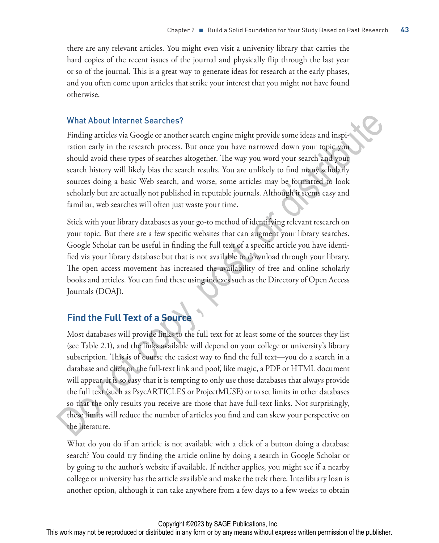there are any relevant articles. You might even visit a university library that carries the hard copies of the recent issues of the journal and physically flip through the last year or so of the journal. This is a great way to generate ideas for research at the early phases, and you often come upon articles that strike your interest that you might not have found otherwise.

### What About Internet Searches?

Finding articles via Google or another search engine might provide some ideas and inspiration early in the research process. But once you have narrowed down your topic you should avoid these types of searches altogether. The way you word your search and your search history will likely bias the search results. You are unlikely to find many scholarly sources doing a basic Web search, and worse, some articles may be formatted to look scholarly but are actually not published in reputable journals. Although it seems easy and familiar, web searches will often just waste your time.

Stick with your library databases as your go-to method of identifying relevant research on your topic. But there are a few specific websites that can augment your library searches. Google Scholar can be useful in finding the full text of a specific article you have identified via your library database but that is not available to download through your library. The open access movement has increased the availability of free and online scholarly books and articles. You can find these using indexes such as the Directory of Open Access Journals (DOAJ).

# **Find the Full Text of a Source**

Most databases will provide links to the full text for at least some of the sources they list (see Table 2.1), and the links available will depend on your college or university's library subscription. This is of course the easiest way to find the full text—you do a search in a database and click on the full-text link and poof, like magic, a PDF or HTML document will appear. It is so easy that it is tempting to only use those databases that always provide the full text (such as PsycARTICLES or ProjectMUSE) or to set limits in other databases so that the only results you receive are those that have full-text links. Not surprisingly, these limits will reduce the number of articles you find and can skew your perspective on the literature. What About Internet Searches?<br>
Finding articles via Google or another search engine might provide some ideas and inspired<br>
arion carly in the research process. But once you have narrowed down your topic yien<br>
starch bisto

What do you do if an article is not available with a click of a button doing a database search? You could try finding the article online by doing a search in Google Scholar or by going to the author's website if available. If neither applies, you might see if a nearby college or university has the article available and make the trek there. Interlibrary loan is another option, although it can take anywhere from a few days to a few weeks to obtain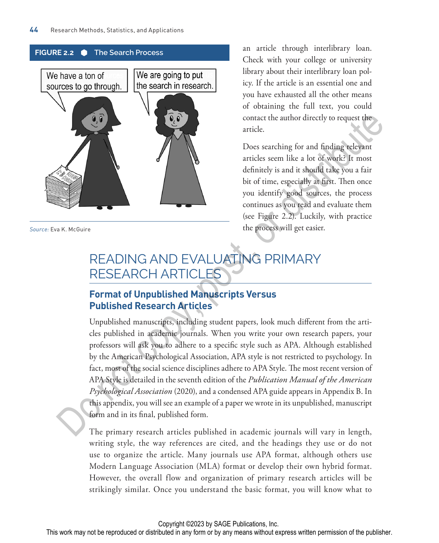

*Source:* Eva K. McGuire

an article through interlibrary loan. Check with your college or university library about their interlibrary loan policy. If the article is an essential one and you have exhausted all the other means of obtaining the full text, you could contact the author directly to request the article.

Does searching for and finding relevant articles seem like a lot of work? It most definitely is and it should take you a fair bit of time, especially at first. Then once you identify good sources, the process continues as you read and evaluate them (see Figure 2.2). Luckily, with practice the process will get easier.

# READING AND EVALUATING PRIMARY RESEARCH ARTICLES

## **Format of Unpublished Manuscripts Versus Published Research Articles**

Unpublished manuscripts, including student papers, look much different from the articles published in academic journals. When you write your own research papers, your professors will ask you to adhere to a specific style such as APA. Although established by the American Psychological Association, APA style is not restricted to psychology. In fact, most of the social science disciplines adhere to APA Style. The most recent version of APA Style is detailed in the seventh edition of the *Publication Manual of the American Psychological Association* (2020), and a condensed APA guide appears in Appendix B. In this appendix, you will see an example of a paper we wrote in its unpublished, manuscript form and in its final, published form. Format of Unpublished Manuscripts Versus<br>
The Primary condition of the Photon and the Context of the Context of the Context of the Context of the Context of the Context of the Context of the Context of the Context of the P

The primary research articles published in academic journals will vary in length, writing style, the way references are cited, and the headings they use or do not use to organize the article. Many journals use APA format, although others use Modern Language Association (MLA) format or develop their own hybrid format. However, the overall flow and organization of primary research articles will be strikingly similar. Once you understand the basic format, you will know what to

Copyright ©2023 by SAGE Publications, Inc.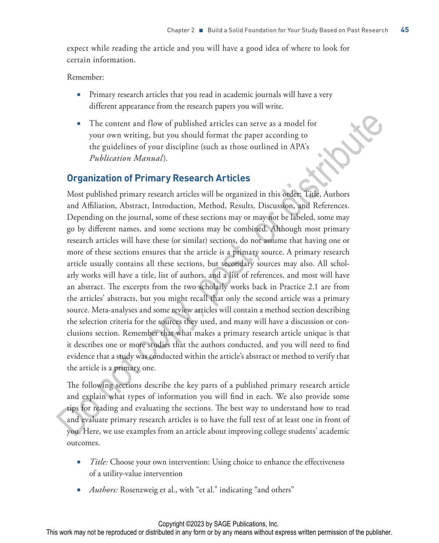expect while reading the article and you will have a good idea of where to look for certain information.

Remember:

- Primary research articles that you read in academic journals will have a very different appearance from the research papers you will write.
- The content and flow of published articles can serve as a model for your own writing, but you should format the paper according to the guidelines of your discipline (such as those outlined in APA's *Publication Manual*).

## **Organization of Primary Research Articles**

Most published primary research articles will be organized in this order: Title, Authors and Affiliation, Abstract, Introduction, Method, Results, Discussion, and References. Depending on the journal, some of these sections may or may not be labeled, some may go by different names, and some sections may be combined. Although most primary research articles will have these (or similar) sections, do not assume that having one or more of these sections ensures that the article is a primary source. A primary research article usually contains all these sections, but secondary sources may also. All scholarly works will have a title, list of authors, and a list of references, and most will have an abstract. The excerpts from the two scholarly works back in Practice 2.1 are from the articles' abstracts, but you might recall that only the second article was a primary source. Meta-analyses and some review articles will contain a method section describing the selection criteria for the sources they used, and many will have a discussion or conclusions section. Remember that what makes a primary research article unique is that it describes one or more studies that the authors conducted, and you will need to find evidence that a study was conducted within the article's abstract or method to verify that the article is a primary one. The content and flow of published articles can serve as a model for<br>your own writing, but you should format the paper according to<br>the guidelines of your distelpine (such as those outlined in APA's<br>*Publication Manual*).<br>

The following sections describe the key parts of a published primary research article and explain what types of information you will find in each. We also provide some tips for reading and evaluating the sections. The best way to understand how to read and evaluate primary research articles is to have the full text of at least one in front of you. Here, we use examples from an article about improving college students' academic outcomes.

- *Title:* Choose your own intervention: Using choice to enhance the effectiveness of a utility-value intervention
- *Authors:* Rosenzweig et al., with "et al." indicating "and others"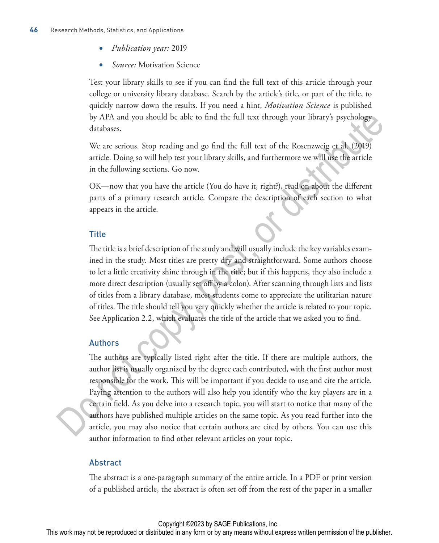- *Publication year:* 2019
- *Source:* Motivation Science

Test your library skills to see if you can find the full text of this article through your college or university library database. Search by the article's title, or part of the title, to quickly narrow down the results. If you need a hint, *Motivation Science* is published by APA and you should be able to find the full text through your library's psychology databases.

We are serious. Stop reading and go find the full text of the Rosenzweig et al. (2019) article. Doing so will help test your library skills, and furthermore we will use the article in the following sections. Go now.

OK—now that you have the article (You do have it, right?), read on about the different parts of a primary research article. Compare the description of each section to what appears in the article.

### Title

The title is a brief description of the study and will usually include the key variables examined in the study. Most titles are pretty dry and straightforward. Some authors choose to let a little creativity shine through in the title; but if this happens, they also include a more direct description (usually set off by a colon). After scanning through lists and lists of titles from a library database, most students come to appreciate the utilitarian nature of titles. The title should tell you very quickly whether the article is related to your topic. See Application 2.2, which evaluates the title of the article that we asked you to find.

## Authors

The authors are typically listed right after the title. If there are multiple authors, the author list is usually organized by the degree each contributed, with the first author most responsible for the work. This will be important if you decide to use and cite the article. Paying attention to the authors will also help you identify who the key players are in a certain field. As you delve into a research topic, you will start to notice that many of the authors have published multiple articles on the same topic. As you read further into the article, you may also notice that certain authors are cited by others. You can use this author information to find other relevant articles on your topic. by APA and you should be able to find the full text through your library's psychology<br>databases.<br>We are serious. Stop reading and go find the full text of the Rosenzweig et al. (2019)<br>wricle. Doing so will help test your l

## Abstract

The abstract is a one-paragraph summary of the entire article. In a PDF or print version of a published article, the abstract is often set off from the rest of the paper in a smaller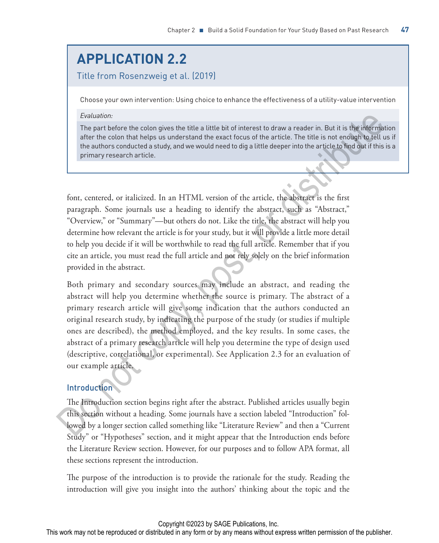# **APPLICATION 2.2**

### Title from Rosenzweig et al. (2019)

Choose your own intervention: Using choice to enhance the effectiveness of a utility-value intervention

#### *Evaluation:*

The part before the colon gives the title a little bit of interest to draw a reader in. But it is the information after the colon that helps us understand the exact focus of the article. The title is not enough to tell us if the authors conducted a study, and we would need to dig a little deeper into the article to find out if this is a primary research article.

font, centered, or italicized. In an HTML version of the article, the abstract is the first paragraph. Some journals use a heading to identify the abstract, such as "Abstract," "Overview," or "Summary"—but others do not. Like the title, the abstract will help you determine how relevant the article is for your study, but it will provide a little more detail to help you decide if it will be worthwhile to read the full article. Remember that if you cite an article, you must read the full article and not rely solely on the brief information provided in the abstract.

Both primary and secondary sources may include an abstract, and reading the abstract will help you determine whether the source is primary. The abstract of a primary research article will give some indication that the authors conducted an original research study, by indicating the purpose of the study (or studies if multiple ones are described), the method employed, and the key results. In some cases, the abstract of a primary research article will help you determine the type of design used (descriptive, correlational, or experimental). See Application 2.3 for an evaluation of our example article. Evolution:<br>
The part lettere the colon gives the title a little bit of interest to draw a reader in. But it is the inferred<br>
after the colon that helps us understand the exact focus of the article. The title is not encity

### **Introduction**

The Introduction section begins right after the abstract. Published articles usually begin this section without a heading. Some journals have a section labeled "Introduction" followed by a longer section called something like "Literature Review" and then a "Current Study" or "Hypotheses" section, and it might appear that the Introduction ends before the Literature Review section. However, for our purposes and to follow APA format, all these sections represent the introduction.

The purpose of the introduction is to provide the rationale for the study. Reading the introduction will give you insight into the authors' thinking about the topic and the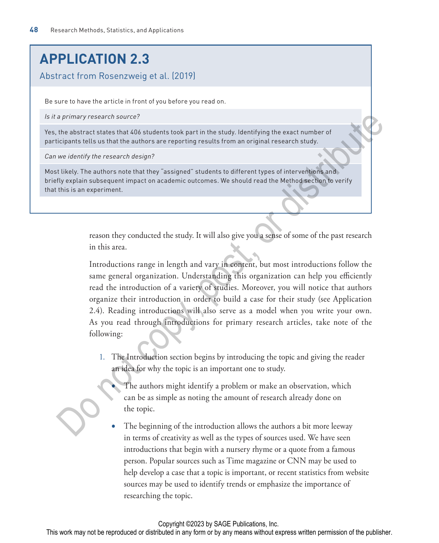# **APPLICATION 2.3**

Abstract from Rosenzweig et al. (2019)

Be sure to have the article in front of you before you read on.

*Is it a primary research source?*

Yes, the abstract states that 406 students took part in the study. Identifying the exact number of participants tells us that the authors are reporting results from an original research study.

*Can we identify the research design?*

Most likely. The authors note that they "assigned" students to different types of interventions and briefly explain subsequent impact on academic outcomes. We should read the Method section to verify that this is an experiment.

> reason they conducted the study. It will also give you a sense of some of the past research in this area.

Introductions range in length and vary in content, but most introductions follow the same general organization. Understanding this organization can help you efficiently read the introduction of a variety of studies. Moreover, you will notice that authors organize their introduction in order to build a case for their study (see Application 2.4). Reading introductions will also serve as a model when you write your own. As you read through introductions for primary research articles, take note of the following: A primary research source?<br>
The abstract states that 406 students took part in the study, leantifying the exact number of<br>
ticipants tells us that the authors are reporting results from an original research study.<br>
We iden

1. The Introduction section begins by introducing the topic and giving the reader an idea for why the topic is an important one to study.

The authors might identify a problem or make an observation, which can be as simple as noting the amount of research already done on the topic.

• The beginning of the introduction allows the authors a bit more leeway in terms of creativity as well as the types of sources used. We have seen introductions that begin with a nursery rhyme or a quote from a famous person. Popular sources such as Time magazine or CNN may be used to help develop a case that a topic is important, or recent statistics from website sources may be used to identify trends or emphasize the importance of researching the topic.

#### Copyright ©2023 by SAGE Publications, Inc.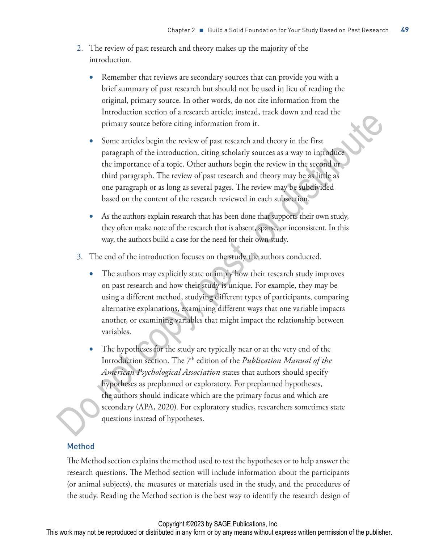- 2. The review of past research and theory makes up the majority of the introduction.
	- Remember that reviews are secondary sources that can provide you with a brief summary of past research but should not be used in lieu of reading the original, primary source. In other words, do not cite information from the Introduction section of a research article; instead, track down and read the primary source before citing information from it.
	- Some articles begin the review of past research and theory in the first paragraph of the introduction, citing scholarly sources as a way to introduce the importance of a topic. Other authors begin the review in the second or third paragraph. The review of past research and theory may be as little as one paragraph or as long as several pages. The review may be subdivided based on the content of the research reviewed in each subsection.
	- As the authors explain research that has been done that supports their own study, they often make note of the research that is absent, sparse, or inconsistent. In this way, the authors build a case for the need for their own study.
- 3. The end of the introduction focuses on the study the authors conducted.
	- The authors may explicitly state or imply how their research study improves on past research and how their study is unique. For example, they may be using a different method, studying different types of participants, comparing alternative explanations, examining different ways that one variable impacts another, or examining variables that might impact the relationship between variables.
- The hypotheses for the study are typically near or at the very end of the Introduction section. The 7<sup>th</sup> edition of the *Publication Manual of the American Psychological Association* states that authors should specify hypotheses as preplanned or exploratory. For preplanned hypotheses, the authors should indicate which are the primary focus and which are secondary (APA, 2020). For exploratory studies, researchers sometimes state questions instead of hypotheses. muondaton sectors of a reasted interest, massage and the propriate and the more primary source before citrin information from it.<br>
Some articles begin the review of past research and theory in the first<br>
paramphor of a co

### Method

The Method section explains the method used to test the hypotheses or to help answer the research questions. The Method section will include information about the participants (or animal subjects), the measures or materials used in the study, and the procedures of the study. Reading the Method section is the best way to identify the research design of

Copyright ©2023 by SAGE Publications, Inc.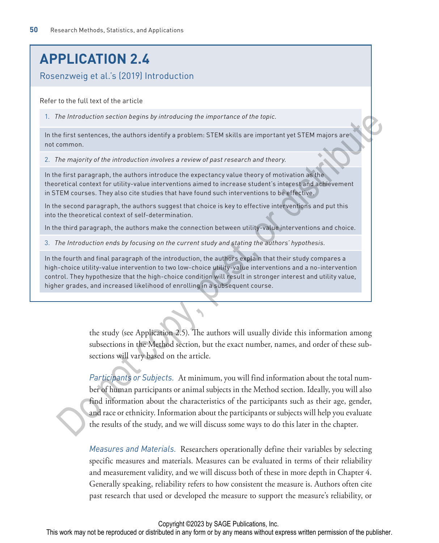# **APPLICATION 2.4**

## Rosenzweig et al.'s (2019) Introduction

Refer to the full text of the article

1. *The Introduction section begins by introducing the importance of the topic.*

In the first sentences, the authors identify a problem: STEM skills are important yet STEM majors are not common.

2. *The majority of the introduction involves a review of past research and theory.*

In the first paragraph, the authors introduce the expectancy value theory of motivation as the theoretical context for utility-value interventions aimed to increase student's interest and achievement in STEM courses. They also cite studies that have found such interventions to be effective.

In the second paragraph, the authors suggest that choice is key to effective interventions and put this into the theoretical context of self-determination.

In the third paragraph, the authors make the connection between utility-value interventions and choice.

3. *The Introduction ends by focusing on the current study and stating the authors' hypothesis.*

In the fourth and final paragraph of the introduction, the authors explain that their study compares a high-choice utility-value intervention to two low-choice utility-value interventions and a no-intervention control. They hypothesize that the high-choice condition will result in stronger interest and utility value, higher grades, and increased likelihood of enrolling in a subsequent course.

> the study (see Application 2.5). The authors will usually divide this information among subsections in the Method section, but the exact number, names, and order of these subsections will vary based on the article.

*Participants or Subjects.* At minimum, you will find information about the total number of human participants or animal subjects in the Method section. Ideally, you will also find information about the characteristics of the participants such as their age, gender, and race or ethnicity. Information about the participants or subjects will help you evaluate the results of the study, and we will discuss some ways to do this later in the chapter. The Introduction section begins by introducing the importance of the topic.<br>
Let first samences, the authors identity a problem: STEM skills are important yet STEM majors are<br>
the first paragraph, the authors introduction

*Measures and Materials.* Researchers operationally define their variables by selecting specific measures and materials. Measures can be evaluated in terms of their reliability and measurement validity, and we will discuss both of these in more depth in Chapter 4. Generally speaking, reliability refers to how consistent the measure is. Authors often cite past research that used or developed the measure to support the measure's reliability, or

Copyright ©2023 by SAGE Publications, Inc.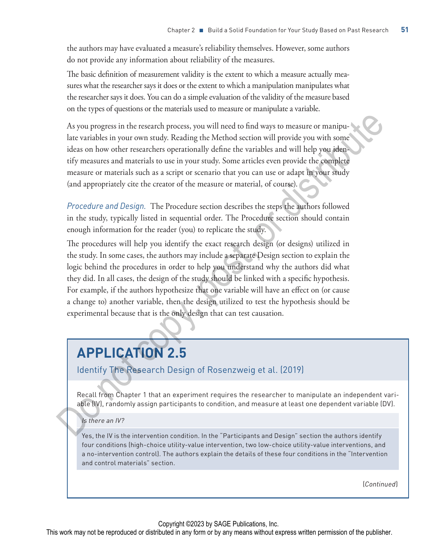the authors may have evaluated a measure's reliability themselves. However, some authors do not provide any information about reliability of the measures.

The basic definition of measurement validity is the extent to which a measure actually measures what the researcher says it does or the extent to which a manipulation manipulates what the researcher says it does. You can do a simple evaluation of the validity of the measure based on the types of questions or the materials used to measure or manipulate a variable.

As you progress in the research process, you will need to find ways to measure or manipulate variables in your own study. Reading the Method section will provide you with some ideas on how other researchers operationally define the variables and will help you identify measures and materials to use in your study. Some articles even provide the complete measure or materials such as a script or scenario that you can use or adapt in your study (and appropriately cite the creator of the measure or material, of course).

*Procedure and Design.* The Procedure section describes the steps the authors followed in the study, typically listed in sequential order. The Procedure section should contain enough information for the reader (you) to replicate the study.

The procedures will help you identify the exact research design (or designs) utilized in the study. In some cases, the authors may include a separate Design section to explain the logic behind the procedures in order to help you understand why the authors did what they did. In all cases, the design of the study should be linked with a specific hypothesis. For example, if the authors hypothesize that one variable will have an effect on (or cause a change to) another variable, then the design utilized to test the hypothesis should be experimental because that is the only design that can test causation. As you progress in the research process, you will need to find ways to measure or manipular<br>variables in your own study. Reading the Method section will provide you with some ideas on how other researches operationally de

# **APPLICATION 2.5**

Identify The Research Design of Rosenzweig et al. (2019)

Recall from Chapter 1 that an experiment requires the researcher to manipulate an independent variable (IV), randomly assign participants to condition, and measure at least one dependent variable (DV).

#### *Is there an IV?*

Yes, the IV is the intervention condition. In the "Participants and Design" section the authors identify four conditions (high-choice utility-value intervention, two low-choice utility-value interventions, and a no-intervention control). The authors explain the details of these four conditions in the "Intervention and control materials" section.

(*Continued*)

#### Copyright ©2023 by SAGE Publications, Inc.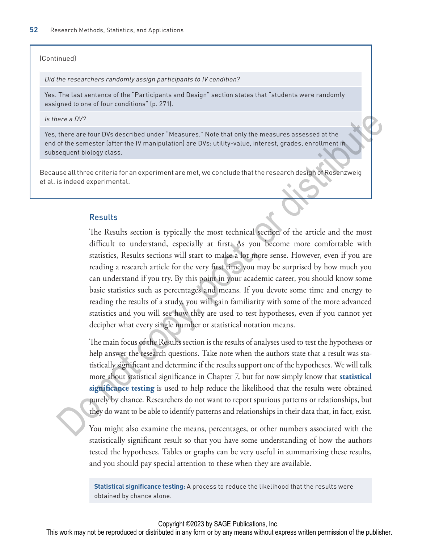#### (Continued)

*Did the researchers randomly assign participants to IV condition?*

Yes. The last sentence of the "Participants and Design" section states that "students were randomly assigned to one of four conditions" (p. 271).

*Is there a DV?*

Yes, there are four DVs described under "Measures." Note that only the measures assessed at the end of the semester (after the IV manipulation) are DVs: utility-value, interest, grades, enrollment in subsequent biology class.

Because all three criteria for an experiment are met, we conclude that the research design of Rosenzweig et al. is indeed experimental.

#### Results

The Results section is typically the most technical section of the article and the most difficult to understand, especially at first. As you become more comfortable with statistics, Results sections will start to make a lot more sense. However, even if you are reading a research article for the very first time you may be surprised by how much you can understand if you try. By this point in your academic career, you should know some basic statistics such as percentages and means. If you devote some time and energy to reading the results of a study, you will gain familiarity with some of the more advanced statistics and you will see how they are used to test hypotheses, even if you cannot yet decipher what every single number or statistical notation means. ene a DV?<br>
there are four DVs described under "Measures." Note that only the measures assessed at the<br>
of the semester latter the IV manipulation) are DVs utility-value, interest, grades, enrollment in<br>
sequent biology cla

The main focus of the Results section is the results of analyses used to test the hypotheses or help answer the research questions. Take note when the authors state that a result was statistically significant and determine if the results support one of the hypotheses. We will talk more about statistical significance in Chapter 7, but for now simply know that **statistical significance testing** is used to help reduce the likelihood that the results were obtained purely by chance. Researchers do not want to report spurious patterns or relationships, but they do want to be able to identify patterns and relationships in their data that, in fact, exist.

You might also examine the means, percentages, or other numbers associated with the statistically significant result so that you have some understanding of how the authors tested the hypotheses. Tables or graphs can be very useful in summarizing these results, and you should pay special attention to these when they are available.

**Statistical significance testing:** A process to reduce the likelihood that the results were obtained by chance alone.

#### Copyright ©2023 by SAGE Publications, Inc.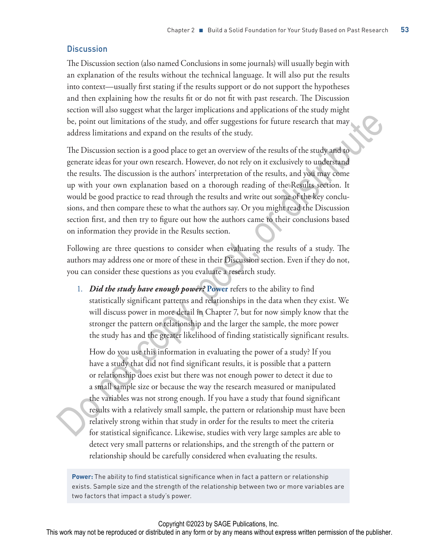### **Discussion**

The Discussion section (also named Conclusions in some journals) will usually begin with an explanation of the results without the technical language. It will also put the results into context—usually first stating if the results support or do not support the hypotheses and then explaining how the results fit or do not fit with past research. The Discussion section will also suggest what the larger implications and applications of the study might be, point out limitations of the study, and offer suggestions for future research that may address limitations and expand on the results of the study.

The Discussion section is a good place to get an overview of the results of the study and to generate ideas for your own research. However, do not rely on it exclusively to understand the results. The discussion is the authors' interpretation of the results, and you may come up with your own explanation based on a thorough reading of the Results section. It would be good practice to read through the results and write out some of the key conclusions, and then compare these to what the authors say. Or you might read the Discussion section first, and then try to figure out how the authors came to their conclusions based on information they provide in the Results section. be, point out limitations of the study, and offer suggestions for future research that may<br>address limitations and expand on the results of the study.<br>The Discussion section is a good place to get an overview of the resul

Following are three questions to consider when evaluating the results of a study. The authors may address one or more of these in their Discussion section. Even if they do not, you can consider these questions as you evaluate a research study.

1. *Did the study have enough power?* **Power** refers to the ability to find statistically significant patterns and relationships in the data when they exist. We will discuss power in more detail in Chapter 7, but for now simply know that the stronger the pattern or relationship and the larger the sample, the more power the study has and the greater likelihood of finding statistically significant results.

How do you use this information in evaluating the power of a study? If you have a study that did not find significant results, it is possible that a pattern or relationship does exist but there was not enough power to detect it due to a small sample size or because the way the research measured or manipulated the variables was not strong enough. If you have a study that found significant results with a relatively small sample, the pattern or relationship must have been relatively strong within that study in order for the results to meet the criteria for statistical significance. Likewise, studies with very large samples are able to detect very small patterns or relationships, and the strength of the pattern or relationship should be carefully considered when evaluating the results.

**Power:** The ability to find statistical significance when in fact a pattern or relationship exists. Sample size and the strength of the relationship between two or more variables are two factors that impact a study's power.

#### Copyright ©2023 by SAGE Publications, Inc.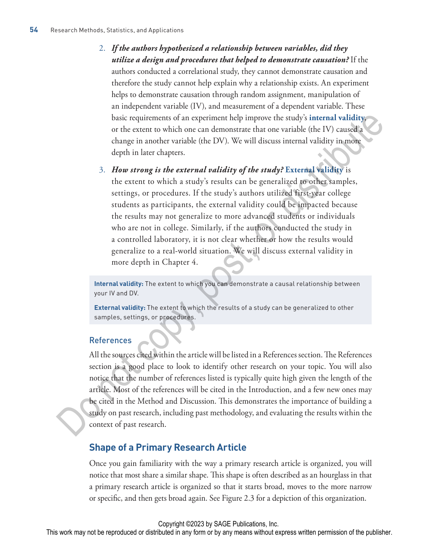- 2. *If the authors hypothesized a relationship between variables, did they utilize a design and procedures that helped to demonstrate causation?* If the authors conducted a correlational study, they cannot demonstrate causation and therefore the study cannot help explain why a relationship exists. An experiment helps to demonstrate causation through random assignment, manipulation of an independent variable (IV), and measurement of a dependent variable. These basic requirements of an experiment help improve the study's **internal validity**, or the extent to which one can demonstrate that one variable (the IV) caused a change in another variable (the DV). We will discuss internal validity in more depth in later chapters.
- 3. *How strong is the external validity of the study?* **External validity** is the extent to which a study's results can be generalized to other samples, settings, or procedures. If the study's authors utilized first-year college students as participants, the external validity could be impacted because the results may not generalize to more advanced students or individuals who are not in college. Similarly, if the authors conducted the study in a controlled laboratory, it is not clear whether or how the results would generalize to a real-world situation. We will discuss external validity in more depth in Chapter 4. basic requirements of an experiment help improve the study's internal validity<br>or the extent to which one can demonstrate that one variable (the IV) caused<br>a change in another variable (the DV). We will discuss internal v

**Internal validity:** The extent to which you can demonstrate a causal relationship between your IV and DV.

**External validity:** The extent to which the results of a study can be generalized to other samples, settings, or procedures.

## References

All the sources cited within the article will be listed in a References section. The References section is a good place to look to identify other research on your topic. You will also notice that the number of references listed is typically quite high given the length of the article. Most of the references will be cited in the Introduction, and a few new ones may be cited in the Method and Discussion. This demonstrates the importance of building a study on past research, including past methodology, and evaluating the results within the context of past research.

## **Shape of a Primary Research Article**

Once you gain familiarity with the way a primary research article is organized, you will notice that most share a similar shape. This shape is often described as an hourglass in that a primary research article is organized so that it starts broad, moves to the more narrow or specific, and then gets broad again. See Figure 2.3 for a depiction of this organization.

Copyright ©2023 by SAGE Publications, Inc.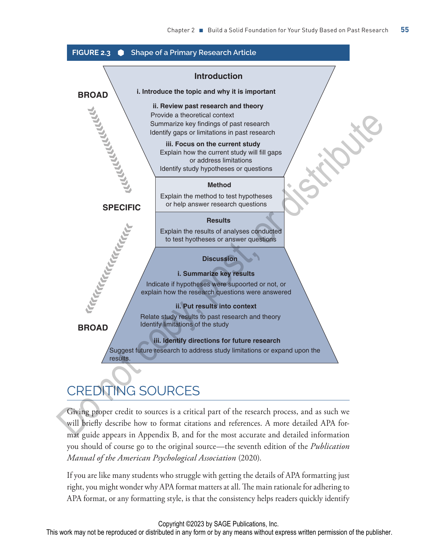

# CREDITING SOURCES

Giving proper credit to sources is a critical part of the research process, and as such we will briefly describe how to format citations and references. A more detailed APA format guide appears in Appendix B, and for the most accurate and detailed information you should of course go to the original source—the seventh edition of the *Publication Manual of the American Psychological Association* (2020).

If you are like many students who struggle with getting the details of APA formatting just right, you might wonder why APA format matters at all. The main rationale for adhering to APA format, or any formatting style, is that the consistency helps readers quickly identify

Copyright ©2023 by SAGE Publications, Inc.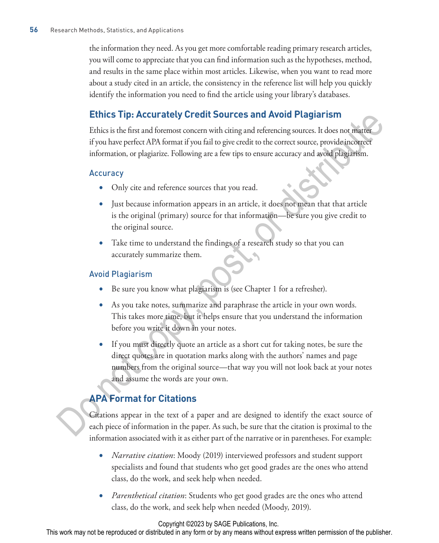the information they need. As you get more comfortable reading primary research articles, you will come to appreciate that you can find information such as the hypotheses, method, and results in the same place within most articles. Likewise, when you want to read more about a study cited in an article, the consistency in the reference list will help you quickly identify the information you need to find the article using your library's databases.

## **Ethics Tip: Accurately Credit Sources and Avoid Plagiarism**

Ethics is the first and foremost concern with citing and referencing sources. It does not matter if you have perfect APA format if you fail to give credit to the correct source, provide incorrect information, or plagiarize. Following are a few tips to ensure accuracy and avoid plagiarism.

#### Accuracy

- Only cite and reference sources that you read.
- Just because information appears in an article, it does not mean that that article is the original (primary) source for that information—be sure you give credit to the original source.
- Take time to understand the findings of a research study so that you can accurately summarize them.

### Avoid Plagiarism

- Be sure you know what plagiarism is (see Chapter 1 for a refresher).
- As you take notes, summarize and paraphrase the article in your own words. This takes more time, but it helps ensure that you understand the information before you write it down in your notes.
- If you must directly quote an article as a short cut for taking notes, be sure the direct quotes are in quotation marks along with the authors' names and page numbers from the original source—that way you will not look back at your notes and assume the words are your own. **Ethics III):** Accurately Creatit Sources and Avoid Plaguarism<br>
Ethics is the first and foreconomy with ching and efectioning sources. It does not only differently in the state of the state information, or plagiatize. Fol

## **APA Format for Citations**

Citations appear in the text of a paper and are designed to identify the exact source of each piece of information in the paper. As such, be sure that the citation is proximal to the information associated with it as either part of the narrative or in parentheses. For example:

- *Narrative citation*: Moody (2019) interviewed professors and student support specialists and found that students who get good grades are the ones who attend class, do the work, and seek help when needed.
- *Parenthetical citation*: Students who get good grades are the ones who attend class, do the work, and seek help when needed (Moody, 2019).

Copyright ©2023 by SAGE Publications, Inc.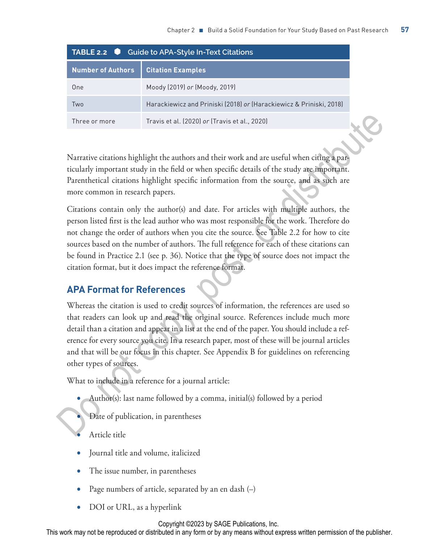| TABLE 2.2 Guide to APA-Style In-Text Citations |                                                                     |  |  |  |
|------------------------------------------------|---------------------------------------------------------------------|--|--|--|
| <b>Number of Authors</b>                       | <b>Citation Examples</b>                                            |  |  |  |
| One                                            | Moody (2019) or (Moody, 2019)                                       |  |  |  |
| Two                                            | Harackiewicz and Priniski (2018) or (Harackiewicz & Priniski, 2018) |  |  |  |
| Three or more                                  | Travis et al. (2020) or (Travis et al., 2020)                       |  |  |  |

Narrative citations highlight the authors and their work and are useful when citing a particularly important study in the field or when specific details of the study are important. Parenthetical citations highlight specific information from the source, and as such are more common in research papers.

Citations contain only the author(s) and date. For articles with multiple authors, the person listed first is the lead author who was most responsible for the work. Therefore do not change the order of authors when you cite the source. See Table 2.2 for how to cite sources based on the number of authors. The full reference for each of these citations can be found in Practice 2.1 (see p. 36). Notice that the type of source does not impact the citation format, but it does impact the reference format.

## **APA Format for References**

Whereas the citation is used to credit sources of information, the references are used so that readers can look up and read the original source. References include much more detail than a citation and appear in a list at the end of the paper. You should include a reference for every source you cite. In a research paper, most of these will be journal articles and that will be our focus in this chapter. See Appendix B for guidelines on referencing other types of sources. These or more<br>
Travis et al. (2020) or (Travis et al., 2020)<br>
Narrative citations highlight the authors and their work and are useful when citing a<br>Parameterical citations highlight pecific details of the study are import

What to include in a reference for a journal article:

- Author(s): last name followed by a comma, initial(s) followed by a period
- Date of publication, in parentheses
- Article title
- Journal title and volume, italicized
- The issue number, in parentheses
- Page numbers of article, separated by an en dash  $(-)$
- DOI or URL, as a hyperlink

#### Copyright ©2023 by SAGE Publications, Inc.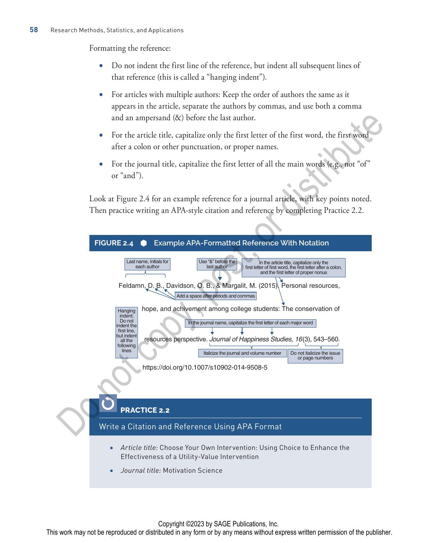Formatting the reference:

- Do not indent the first line of the reference, but indent all subsequent lines of that reference (this is called a "hanging indent").
- For articles with multiple authors: Keep the order of authors the same as it appears in the article, separate the authors by commas, and use both a comma and an ampersand (&) before the last author.
- For the article title, capitalize only the first letter of the first word, the first word after a colon or other punctuation, or proper names.
- For the journal title, capitalize the first letter of all the main words (e.g., not "of" or "and").

Look at Figure 2.4 for an example reference for a journal article, with key points noted. Then practice writing an APA-style citation and reference by completing Practice 2.2.

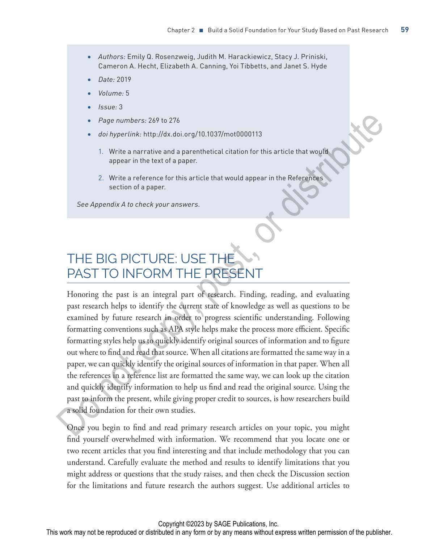- *Authors:* Emily Q. Rosenzweig, Judith M. Harackiewicz, Stacy J. Priniski, Cameron A. Hecht, Elizabeth A. Canning, Yoi Tibbetts, and Janet S. Hyde
- *Date:* 2019
- *Volume:* 5
- *Issue:* 3
- *Page numbers:* 269 to 276
- *doi hyperlink:* http://dx.doi.org/10.1037/mot0000113
	- 1. Write a narrative and a parenthetical citation for this article that would appear in the text of a paper.
	- 2. Write a reference for this article that would appear in the References section of a paper.

*See Appendix A to check your answers.*

# THE BIG PICTURE: USE THE PAST TO INFORM THE PRESENT

Honoring the past is an integral part of research. Finding, reading, and evaluating past research helps to identify the current state of knowledge as well as questions to be examined by future research in order to progress scientific understanding. Following formatting conventions such as APA style helps make the process more efficient. Specific formatting styles help us to quickly identify original sources of information and to figure out where to find and read that source. When all citations are formatted the same way in a paper, we can quickly identify the original sources of information in that paper. When all the references in a reference list are formatted the same way, we can look up the citation and quickly identify information to help us find and read the original source. Using the past to inform the present, while giving proper credit to sources, is how researchers build a solid foundation for their own studies. • *Page numbers: 289* to 276<br>• *doi hyperlink*: http://dx.doi.org/10.1037/mot000113<br>
• *doi hyperlink*: http://dx.doi.org/10.1037/mot000113<br>
• Spear in the text of a paper.<br>
• Page are in the text of a paper.<br>
• 2. Write a

Once you begin to find and read primary research articles on your topic, you might find yourself overwhelmed with information. We recommend that you locate one or two recent articles that you find interesting and that include methodology that you can understand. Carefully evaluate the method and results to identify limitations that you might address or questions that the study raises, and then check the Discussion section for the limitations and future research the authors suggest. Use additional articles to

Copyright ©2023 by SAGE Publications, Inc.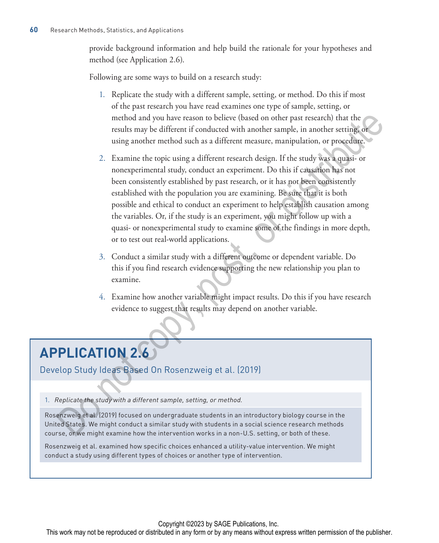provide background information and help build the rationale for your hypotheses and method (see Application 2.6).

Following are some ways to build on a research study:

- 1. Replicate the study with a different sample, setting, or method. Do this if most of the past research you have read examines one type of sample, setting, or method and you have reason to believe (based on other past research) that the results may be different if conducted with another sample, in another setting, or using another method such as a different measure, manipulation, or procedure.
- 2. Examine the topic using a different research design. If the study was a quasi- or nonexperimental study, conduct an experiment. Do this if causation has not been consistently established by past research, or it has not been consistently established with the population you are examining. Be sure that it is both possible and ethical to conduct an experiment to help establish causation among the variables. Or, if the study is an experiment, you might follow up with a quasi- or nonexperimental study to examine some of the findings in more depth, or to test out real-world applications. method and you have reason to believe (tased on other past research) that the<br>results may be different if conducted with another sample, in a norber setting, or<br>using another method such as a different reasoner, manipulati
	- 3. Conduct a similar study with a different outcome or dependent variable. Do this if you find research evidence supporting the new relationship you plan to examine.
	- 4. Examine how another variable might impact results. Do this if you have research evidence to suggest that results may depend on another variable.

# **APPLICATION 2.6**

Develop Study Ideas Based On Rosenzweig et al. (2019)

1. *Replicate the study with a different sample, setting, or method.*

Rosenzweig et al. (2019) focused on undergraduate students in an introductory biology course in the United States. We might conduct a similar study with students in a social science research methods course, or we might examine how the intervention works in a non-U.S. setting, or both of these.

Rosenzweig et al. examined how specific choices enhanced a utility-value intervention. We might conduct a study using different types of choices or another type of intervention.

#### Copyright ©2023 by SAGE Publications, Inc.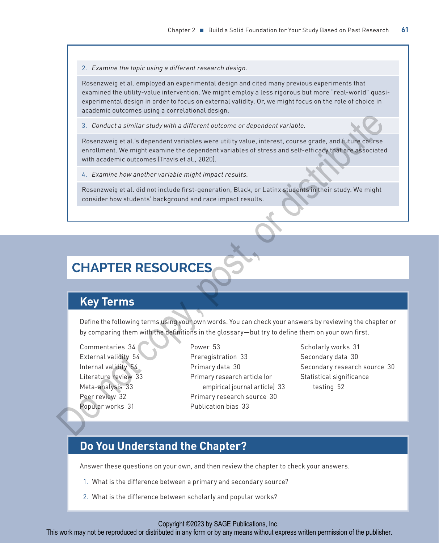2. *Examine the topic using a different research design.*

Rosenzweig et al. employed an experimental design and cited many previous experiments that examined the utility-value intervention. We might employ a less rigorous but more "real-world" quasiexperimental design in order to focus on external validity. Or, we might focus on the role of choice in academic outcomes using a correlational design.

3. *Conduct a similar study with a different outcome or dependent variable.*

Rosenzweig et al.'s dependent variables were utility value, interest, course grade, and future course enrollment. We might examine the dependent variables of stress and self-efficacy that are associated with academic outcomes (Travis et al., 2020). S. Conduct a similar study with a different outcome or dependent variable.<br>
Rosenzweig et al.'s dependent variables were utility value, interest, course grade, and utility experient the controller than the computation of t

4. *Examine how another variable might impact results.*

Rosenzweig et al. did not include first-generation, Black, or Latinx students in their study. We might consider how students' background and race impact results.

# **CHAPTER RESOURCES**

# **Key Terms**

Define the following terms using your own words. You can check your answers by reviewing the chapter or by comparing them with the definitions in the glossary—but try to define them on your own first.

Commentaries 34 External validity 54 Internal validity 54 Literature review 33 Meta-analysis 33 Peer review 32 Popular works 31

Power 53 Preregistration 33 Primary data 30 Primary research article (or empirical journal article) 33 Primary research source 30 Publication bias 33

Scholarly works 31 Secondary data 30 Secondary research source 30 Statistical significance testing 52

# **Do You Understand the Chapter?**

Answer these questions on your own, and then review the chapter to check your answers.

- 1. What is the difference between a primary and secondary source?
- 2. What is the difference between scholarly and popular works?

#### Copyright ©2023 by SAGE Publications, Inc.